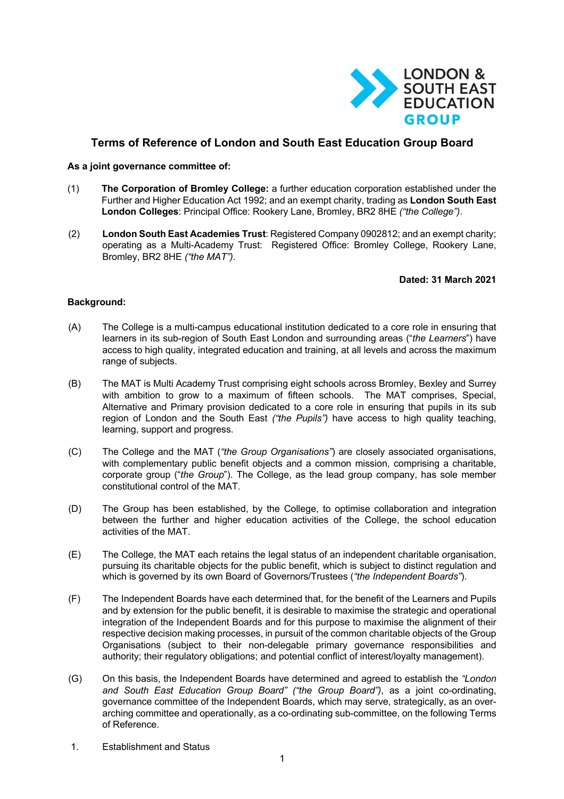

# **Terms of Reference of London and South East Education Group Board**

#### **As a joint governance committee of:**

- (1) **The Corporation of Bromley College:** a further education corporation established under the Further and Higher Education Act 1992; and an exempt charity, trading as **London South East London Colleges**: Principal Office: Rookery Lane, Bromley, BR2 8HE *("the College")*.
- (2) **London South East Academies Trust**: Registered Company 0902812; and an exempt charity; operating as a Multi-Academy Trust: Registered Office: Bromley College, Rookery Lane, Bromley, BR2 8HE *("the MAT")*.

### **Dated: 31 March 2021**

## **Background:**

- (A) The College is a multi-campus educational institution dedicated to a core role in ensuring that learners in its sub-region of South East London and surrounding areas ("*the Learners*") have access to high quality, integrated education and training, at all levels and across the maximum range of subjects.
- (B) The MAT is Multi Academy Trust comprising eight schools across Bromley, Bexley and Surrey with ambition to grow to a maximum of fifteen schools. The MAT comprises, Special, Alternative and Primary provision dedicated to a core role in ensuring that pupils in its sub region of London and the South East *("the Pupils")* have access to high quality teaching, learning, support and progress.
- (C) The College and the MAT (*"the Group Organisations"*) are closely associated organisations, with complementary public benefit objects and a common mission, comprising a charitable, corporate group ("*the Group*"). The College, as the lead group company, has sole member constitutional control of the MAT.
- (D) The Group has been established, by the College, to optimise collaboration and integration between the further and higher education activities of the College, the school education activities of the MAT.
- (E) The College, the MAT each retains the legal status of an independent charitable organisation, pursuing its charitable objects for the public benefit, which is subject to distinct regulation and which is governed by its own Board of Governors/Trustees (*"the Independent Boards"*).
- (F) The Independent Boards have each determined that, for the benefit of the Learners and Pupils and by extension for the public benefit, it is desirable to maximise the strategic and operational integration of the Independent Boards and for this purpose to maximise the alignment of their respective decision making processes, in pursuit of the common charitable objects of the Group Organisations (subject to their non-delegable primary governance responsibilities and authority; their regulatory obligations; and potential conflict of interest/loyalty management).
- (G) On this basis, the Independent Boards have determined and agreed to establish the *"London and South East Education Group Board" ("the Group Board")*, as a joint co-ordinating, governance committee of the Independent Boards, which may serve, strategically, as an overarching committee and operationally, as a co-ordinating sub-committee, on the following Terms of Reference.
- 1. Establishment and Status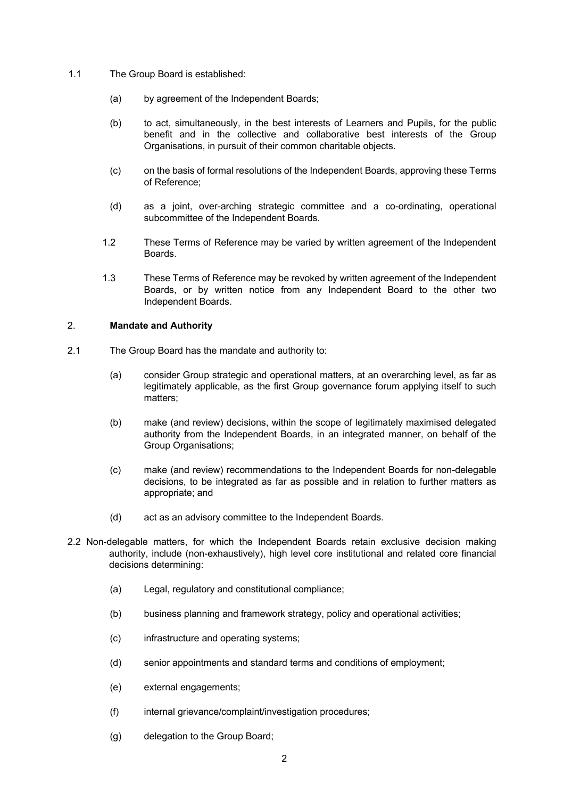- 1.1 The Group Board is established:
	- (a) by agreement of the Independent Boards;
	- (b) to act, simultaneously, in the best interests of Learners and Pupils, for the public benefit and in the collective and collaborative best interests of the Group Organisations, in pursuit of their common charitable objects.
	- (c) on the basis of formal resolutions of the Independent Boards, approving these Terms of Reference;
	- (d) as a joint, over-arching strategic committee and a co-ordinating, operational subcommittee of the Independent Boards.
	- 1.2 These Terms of Reference may be varied by written agreement of the Independent Boards.
	- 1.3 These Terms of Reference may be revoked by written agreement of the Independent Boards, or by written notice from any Independent Board to the other two Independent Boards.

### 2. **Mandate and Authority**

- 2.1 The Group Board has the mandate and authority to:
	- (a) consider Group strategic and operational matters, at an overarching level, as far as legitimately applicable, as the first Group governance forum applying itself to such matters;
	- (b) make (and review) decisions, within the scope of legitimately maximised delegated authority from the Independent Boards, in an integrated manner, on behalf of the Group Organisations;
	- (c) make (and review) recommendations to the Independent Boards for non-delegable decisions, to be integrated as far as possible and in relation to further matters as appropriate; and
	- (d) act as an advisory committee to the Independent Boards.
- 2.2 Non-delegable matters, for which the Independent Boards retain exclusive decision making authority, include (non-exhaustively), high level core institutional and related core financial decisions determining:
	- (a) Legal, regulatory and constitutional compliance;
	- (b) business planning and framework strategy, policy and operational activities;
	- (c) infrastructure and operating systems;
	- (d) senior appointments and standard terms and conditions of employment;
	- (e) external engagements;
	- (f) internal grievance/complaint/investigation procedures;
	- (g) delegation to the Group Board;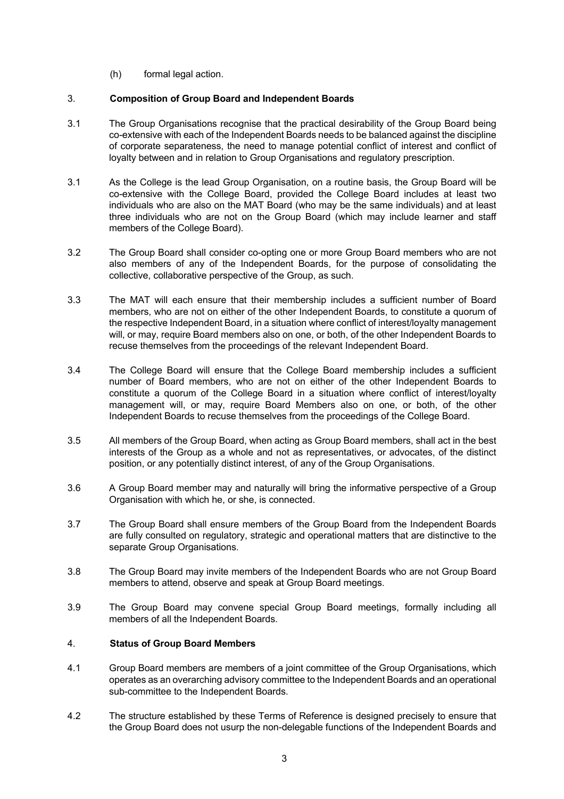(h) formal legal action.

## 3. **Composition of Group Board and Independent Boards**

- 3.1 The Group Organisations recognise that the practical desirability of the Group Board being co-extensive with each of the Independent Boards needs to be balanced against the discipline of corporate separateness, the need to manage potential conflict of interest and conflict of loyalty between and in relation to Group Organisations and regulatory prescription.
- 3.1 As the College is the lead Group Organisation, on a routine basis, the Group Board will be co-extensive with the College Board, provided the College Board includes at least two individuals who are also on the MAT Board (who may be the same individuals) and at least three individuals who are not on the Group Board (which may include learner and staff members of the College Board).
- 3.2 The Group Board shall consider co-opting one or more Group Board members who are not also members of any of the Independent Boards, for the purpose of consolidating the collective, collaborative perspective of the Group, as such.
- 3.3 The MAT will each ensure that their membership includes a sufficient number of Board members, who are not on either of the other Independent Boards, to constitute a quorum of the respective Independent Board, in a situation where conflict of interest/loyalty management will, or may, require Board members also on one, or both, of the other Independent Boards to recuse themselves from the proceedings of the relevant Independent Board.
- 3.4 The College Board will ensure that the College Board membership includes a sufficient number of Board members, who are not on either of the other Independent Boards to constitute a quorum of the College Board in a situation where conflict of interest/loyalty management will, or may, require Board Members also on one, or both, of the other Independent Boards to recuse themselves from the proceedings of the College Board.
- 3.5 All members of the Group Board, when acting as Group Board members, shall act in the best interests of the Group as a whole and not as representatives, or advocates, of the distinct position, or any potentially distinct interest, of any of the Group Organisations.
- 3.6 A Group Board member may and naturally will bring the informative perspective of a Group Organisation with which he, or she, is connected.
- 3.7 The Group Board shall ensure members of the Group Board from the Independent Boards are fully consulted on regulatory, strategic and operational matters that are distinctive to the separate Group Organisations.
- 3.8 The Group Board may invite members of the Independent Boards who are not Group Board members to attend, observe and speak at Group Board meetings.
- 3.9 The Group Board may convene special Group Board meetings, formally including all members of all the Independent Boards.

## 4. **Status of Group Board Members**

- 4.1 Group Board members are members of a joint committee of the Group Organisations, which operates as an overarching advisory committee to the Independent Boards and an operational sub-committee to the Independent Boards.
- 4.2 The structure established by these Terms of Reference is designed precisely to ensure that the Group Board does not usurp the non-delegable functions of the Independent Boards and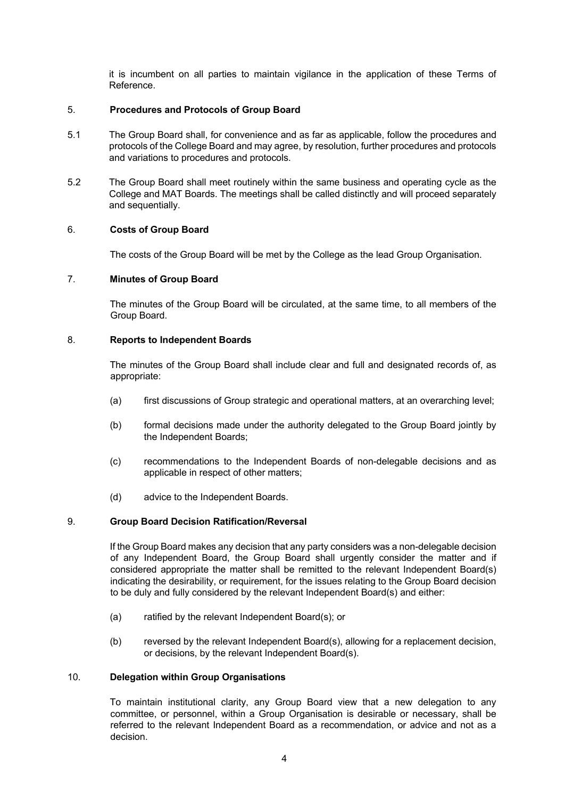it is incumbent on all parties to maintain vigilance in the application of these Terms of Reference.

## 5. **Procedures and Protocols of Group Board**

- 5.1 The Group Board shall, for convenience and as far as applicable, follow the procedures and protocols of the College Board and may agree, by resolution, further procedures and protocols and variations to procedures and protocols.
- 5.2 The Group Board shall meet routinely within the same business and operating cycle as the College and MAT Boards. The meetings shall be called distinctly and will proceed separately and sequentially.

## 6. **Costs of Group Board**

The costs of the Group Board will be met by the College as the lead Group Organisation.

## 7. **Minutes of Group Board**

The minutes of the Group Board will be circulated, at the same time, to all members of the Group Board.

## 8. **Reports to Independent Boards**

The minutes of the Group Board shall include clear and full and designated records of, as appropriate:

- (a) first discussions of Group strategic and operational matters, at an overarching level;
- (b) formal decisions made under the authority delegated to the Group Board jointly by the Independent Boards;
- (c) recommendations to the Independent Boards of non-delegable decisions and as applicable in respect of other matters;
- (d) advice to the Independent Boards.

## 9. **Group Board Decision Ratification/Reversal**

If the Group Board makes any decision that any party considers was a non-delegable decision of any Independent Board, the Group Board shall urgently consider the matter and if considered appropriate the matter shall be remitted to the relevant Independent Board(s) indicating the desirability, or requirement, for the issues relating to the Group Board decision to be duly and fully considered by the relevant Independent Board(s) and either:

- (a) ratified by the relevant Independent Board(s); or
- (b) reversed by the relevant Independent Board(s), allowing for a replacement decision, or decisions, by the relevant Independent Board(s).

## 10. **Delegation within Group Organisations**

To maintain institutional clarity, any Group Board view that a new delegation to any committee, or personnel, within a Group Organisation is desirable or necessary, shall be referred to the relevant Independent Board as a recommendation, or advice and not as a decision.